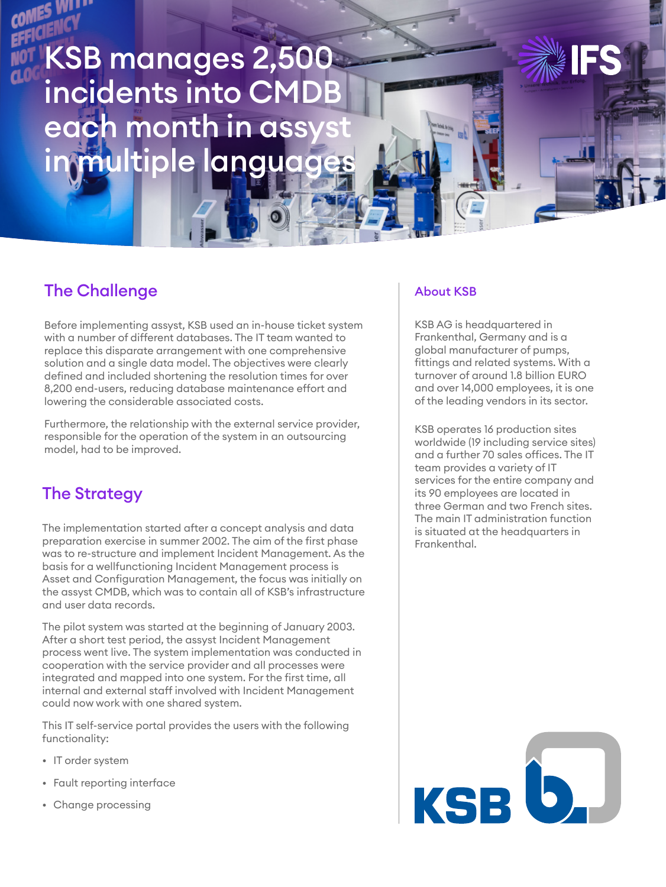# KSB manages 2,500 incidents into CMDB each month in assy n multiple languag

## The Challenge

Before implementing assyst, KSB used an in-house ticket system with a number of different databases. The IT team wanted to replace this disparate arrangement with one comprehensive solution and a single data model. The objectives were clearly defined and included shortening the resolution times for over 8,200 end-users, reducing database maintenance effort and lowering the considerable associated costs.

Furthermore, the relationship with the external service provider, responsible for the operation of the system in an outsourcing model, had to be improved.

## The Strategy

The implementation started after a concept analysis and data preparation exercise in summer 2002. The aim of the first phase was to re-structure and implement Incident Management. As the basis for a wellfunctioning Incident Management process is Asset and Configuration Management, the focus was initially on the assyst CMDB, which was to contain all of KSB's infrastructure and user data records.

The pilot system was started at the beginning of January 2003. After a short test period, the assyst Incident Management process went live. The system implementation was conducted in cooperation with the service provider and all processes were integrated and mapped into one system. For the first time, all internal and external staff involved with Incident Management could now work with one shared system.

This IT self-service portal provides the users with the following functionality:

- IT order system
- Fault reporting interface
- Change processing

#### About KSB

KSB AG is headquartered in Frankenthal, Germany and is a global manufacturer of pumps, fittings and related systems. With a turnover of around 1.8 billion EURO and over 14,000 employees, it is one of the leading vendors in its sector.

KSB operates 16 production sites worldwide (19 including service sites) and a further 70 sales offices. The IT team provides a variety of IT services for the entire company and its 90 employees are located in three German and two French sites. The main IT administration function is situated at the headquarters in Frankenthal.